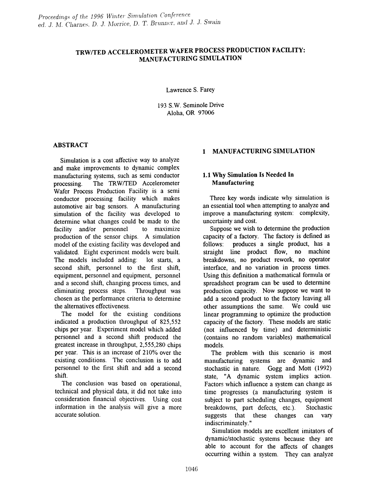# TRWITED ACCELEROMETER WAFER PROCESS PRODUCTION FACILITY: MANUFACTURING SIMULATION

Lawrence S. Farey

193 S.W. Seminole Drive Aloha, OR 97006

### ABSTRACT

Simulation is a cost affective way to analyze and make improvements to dynamic complex manufacturing systems, such as semi conductor processing. The TRW/TED Accelerometer Wafer Process Production Facility is a semi conductor processing facility which makes automotive air bag sensors. A manufacturing simulation of the facility was developed to determine what changes could be made to the facility and/or personnel to maximize production of the sensor chips. A simulation model of the existing facility was developed and validated. Eight experiment models were built. The models included adding: lot starts, a second shift, personnel to the first shift, equipment, personnel and equipment, personnel and a second shift, changing process times, and eliminating process steps. Throughput was chosen as the perfonnance criteria to determine the alternatives effectiveness.

The model for the existing conditions indicated a production throughput of 825,552 chips per year. Experiment model which added personnel and a second shift produced the greatest increase in throughput, 2,555,280 chips per year. This is an increase of 210% over the existing conditions. The conclusion is to add personnel to the first shift and add a second shift.

The conclusion was based on operational, technical and physical data, it did not take into consideration financial objectives. Using cost information in the analysis will give a more accurate solution.

# 1 MANUFACTURING SIMULATION

## 1.1 Why Simulation Is Needed In Manufacturing

Three key words indicate why simulation is an essential tool when attempting to analyze and improve a manufacturing system: complexity, uncertainty and cost.

Suppose we wish to determine the production capacity of a factory. The factory is defined as follows: produces a single product, has a straight line product flow, no machine breakdowns, no product rework, no operator interface, and no variation in process times. Using this definition a mathematical formula or spreadsheet program can be used to determine production capacity. Now suppose we want to add a second product to the factory leaving all other assumptions the same. We could use linear programming to optimize the production capacity of the factory. These models are static (not influenced by time) and detenninistic (contains no random variables) mathematical models.

The problem with this scenario is most manufacturing systems are dynamic and stochastic in nature. Gogg and Mott (1992) state, "A dynamic system implies action. Factors which influence a system can change as time progresses (a manufacturing system is subject to part scheduling changes, equipment breakdowns, part defects, etc.). Stochastic suggests that these changes can vary indiscriminately."

Simulation models are excellent imitators of dynamic/stochastic systems because they are able to account for the affects of changes occurring within a system. They can analyze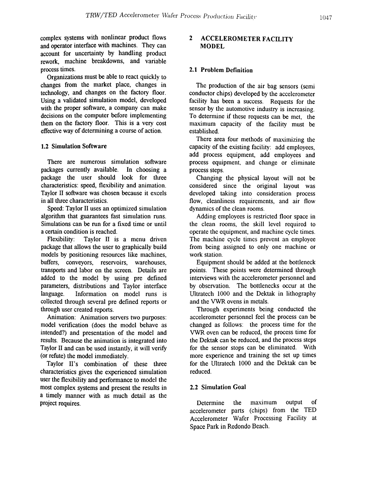complex systems with nonlinear product flows and operator interface with machines. They can account for uncertainty by handling product rework, machine breakdowns, and variable process times.

Organizations must be able to react quickly to changes from the market place, changes in technology, and changes on the factory floor. Using a validated simulation model, developed with the proper software, a company can make decisions on the computer before implementing them on the factory floor. This is a very cost effective way of determining a course of action.

### 1.2 Simulation Software

There are numerous simulation software packages currently available. In choosing a package the user should look for three characteristics: speed, flexibility and animation. Taylor II software was chosen because it excels in all three characteristics.

Speed: Taylor II uses an optimized simulation algorithm that guarantees fast simulation runs. Simulations can be run for a fixed time or until a certain condition is reached.

Flexibility: Taylor II is a menu driven package that allows the user to graphically build models by positioning resources like machines, buffers, conveyors, reservoirs, warehouses, transports and labor on the screen. Details are added to the model by using pre defined parameters, distributions and Taylor interface language. Information on model runs is collected through several pre defined reports or through user created reports.

Animation: Animation servers two purposes: model verification (does the model behave as intended?) and presentation of the model and results. Because the animation is integrated into Taylor II and can be used instantly, it will verify (or refute) the model immediately.

Taylor II's combination of these three characteristics gives the experienced simulation user the flexibility and performance to model the most complex systems and present the results in a timely manner with as much detail as the project requires.

## 2 ACCELEROMETER FACILITY MODEL

## 2.1 Problem Definition

The production of the air bag sensors (semi conductor chips) developed by the accelerometer facility has been a success. Requests for the sensor by the automotive industry is increasing. To determine if these requests can be met, the maximum capacity of the facility must be established.

There area four methods of maximizing the capacity of the existing facility: add employees, add process equipment, add employees and process equipment, and change or eliminate process steps.

Changing the physical layout will not be considered since the original layout was developed taking into consideration process flow, cleanliness requirements, and air flow dynamics of the clean rooms.

Adding employees is restricted floor space in the clean rooms, the skill level required to operate the equipment, and machine cycle times. The machine cycle times prevent an employee from being assigned to only one machine or work station.

Equipment should be added at the bottleneck points. These points were determined through interviews with the accelerometer personnel and by observation. The bottlenecks occur at the Ultratech 1000 and the Dektak in lithography and the VWR ovens in metals.

Through experiments being conducted the accelerometer personnel feel the process can be changed as follows: the process time for the VWR oven can be reduced, the process time for the Dektak can be reduced, and the process steps for the sensor stops can be eliminated. With more experience and training the set up times for the Ultratech 1000 and the Dektak can be reduced.

#### 2.2 Simulation Goal

Determine the maximum output of accelerometer parts (chips) from the TED Accelerometer Wafer Processing Facility at Space Park in Redondo Beach.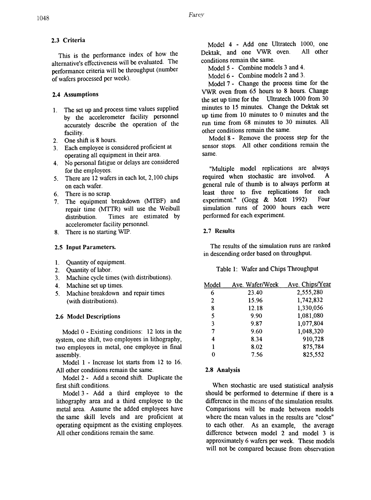# 2.3 Criteria

This is the performance index of how the alternative's effectiveness will be evaluated. The performance criteria will be throughput (number of wafers processed per week).

# 2.4 Assumptions

- 1. The set up and process time values supplied by the accelerometer facility personnel accurately describe the operation of the facility.
- 2. One shift is 8 hours.
- 3. Each employee is considered proficient at operating all equipment in their area.
- 4. No personal fatigue or delays are considered for the employees.
- 5. There are 12 wafers in each lot, 2,100 chips on each wafer.
- 6. There is no scrap.
- 7. The equipment breakdown (MTBF) and repair time (MTTR) will use the Weibull distribution. Times are estimated by accelerometer facility personnel.
- 8. There is no starting WIP.

# 2.5 Input Parameters.

- 1. Quantity of equipment.
- 2. Quantity of labor.
- 3. Machine cycle times (with distributions).
- 4. Machine set up times.
- 5. Machine breakdown and repair times (with distributions).

# 2.6 Model Descriptions

Model  $0$  - Existing conditions: 12 lots in the system, one shift, two employees in lithography, two employees in metal, one employee in final assembly.

Model 1 - Increase lot starts from 12 to 16. All other conditions remain the same.

Model 2 - Add a second shift. Duplicate the first shift conditions.

Model 3 - Add a third employee to the lithography area and a third employee to the metal area. Assume the added employees have the same skill levels and are proficient at operating equipment as the existing employees. All other conditions remain the same.

Model 4 - Add one Ultratech 1000, one<br>Krak and one VWR oven. All other Dektak, and one VWR oven. conditions remain the same.

Model 5 - Combine models 3 and 4.

Model 6 - Combine models 2 and 3.

Model 7 - Change the process time for the VWR oven from 65 hours to 8 hours. Change the set up time for the Ultratech 1000 from 30 minutes to 15 minutes. Change the Dektak set up time from 10 minutes to 0 minutes and the run time from 68 minutes to 30 minutes. All other conditions remain the same.

Model 8 - Remove the process step for the sensor stops. All other conditions remain the same.

"Multiple model replications are always required when stochastic are involved. A general rule of thumb is to always perform at least three to five replications for each<br>experiment "  $(G \circ \theta \otimes \mathcal{R})$  Mott 1992) Four experiment." (Gogg  $&$  Mott 1992) simulation runs of 2000 hours each were performed for each experiment.

# 2.7 Results

The results of the simulation runs are ranked in descending order based on throughput.

# Table 1: Wafer and Chips Throughput

| Model | Ave. Wafer/Week | Ave. Chips/Year |
|-------|-----------------|-----------------|
| 6     | 23.40           | 2,555,280       |
| 2     | 15.96           | 1,742,832       |
| 8     | 12.18           | 1,330,056       |
| 5     | 9.90            | 1,081,080       |
| 3     | 9.87            | 1,077,804       |
| 7     | 9.60            | 1,048,320       |
| 4     | 8.34            | 910,728         |
|       | 8.02            | 875,784         |
|       | 7.56            | 825,552         |
|       |                 |                 |

# 2.8 Analysis

When stochastic are used statistical analysis should be performed to determine if there is a difference in the means of the simulation results. Comparisons will be made between models where the mean values in the results are "close" to each other. As an example, the average difference between model 2 and model 3 is approximately 6 wafers per week. These models will not be compared because from observation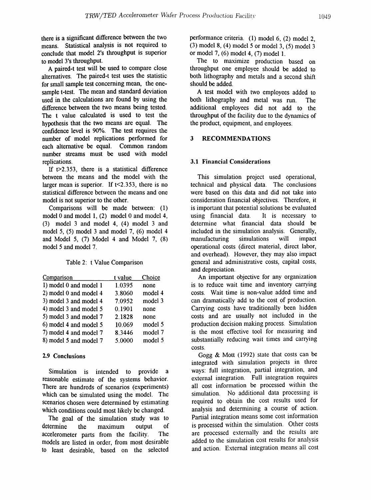there is a significant difference between the two means. Statistical analysis is not required to conclude that model 2's throughput is superior to model 3's throughput.

A paired-t test will be used to compare close alternatives. The paired-t test uses the statistic for small sample test concerning mean, the onesample t-test. The mean and standard deviation used in the calculations are found by using the difference between the two means being tested. The t value calculated is used to test the hypothesis that the two means are equal. The confidence level is 90%. The test requires the number of model replications performed for each alternative be equal. Common random number streams must be used with model replications.

If  $t > 2.353$ , there is a statistical difference between the means and the model with the larger mean is superior. If  $t < 2.353$ , there is no statistical difference between the means and one model is not superior to the other.

Comparisons will be made between: (I) model 0 and model 1,  $(2)$  model 0 and model 4, (3) model 3 and model 4, (4) model 3 and model 5, (5) model 3 and model 7, (6) model 4 and Model 5, (7) Model 4 and Model 7, (8) model 5 and model 7.

Table 2: t Value Comparison

| Comparison             | t value | Choice  |
|------------------------|---------|---------|
| 1) model 0 and model 1 | 1.0395  | none    |
| 2) model 0 and model 4 | 3.8060  | model 4 |
| 3) model 3 and model 4 | 7.0952  | model 3 |
| 4) model 3 and model 5 | 0.1901  | none    |
| 5) model 3 and model 7 | 2.1828  | none    |
| 6) model 4 and model 5 | 10.069  | model 5 |
| 7) model 4 and model 7 | 8.3446  | model 7 |
| 8) model 5 and model 7 | 5.0000  | model 5 |

### 2.9 Conclusions

Simulation is intended to provide a reasonable estimate of the systems behavior. There are hundreds of scenarios (experiments) which can be simulated using the model. The scenarios chosen were determined by estimating which conditions could most likely be changed.

The goal of the simulation study was to determine the maximum output of accelerometer parts from the facility. The models are listed in order, from most desirable to least desirable, based on the selected

performance criteria. (1) model 6, (2) model 2, (3) model 8, (4) model 5 or model 3, (5) model 3 or model 7, (6) model 4, (7) model 1.

The to maximize production based on throughput one employee should be added to both lithography and metals and a second shift should be added.

A test model with two employees added to both lithography and metal was run. The additional employees did not add to the throughput of the facility due to the dynamics of the product, equipment, and employees.

#### 3 RECOMMENDATIONS

#### 3.1 Financial Considerations

This simulation project used operational, technical and physical data. The conclusions were based on this data and did not take into consideration financial objectives. Therefore, it is important that potential solutions be evaluated using financial data. It is necessary to determine what financial data should be included in the simulation analysis. Generally, manufacturing simulations will impact operational costs (direct material, direct labor, and overhead). However, they may also impact general and administrative costs, capital costs, and depreciation.

An important objective for any organization is to reduce wait time and inventory carrying costs. Wait time is non-value added time and can dramatically add to the cost of production. Carrying costs have traditionally been hidden costs and are usually not included in the production decision making process. Simulation is the most effective tool for measuring and substantially reducing wait times and carrying costs.

Gogg & Mott (1992) state that costs can be integrated with simulation projects in three ways: full integration, partial integration, and external integration. Full integration requires all cost information be processed within the simulation. No additional data processing is required to obtain the cost results used for analysis and determining a course of action. Partial integration means some cost information is processed within the simulation. Other costs are processed externally and the results are added to the simulation cost results for analysis and action. External integration means all cost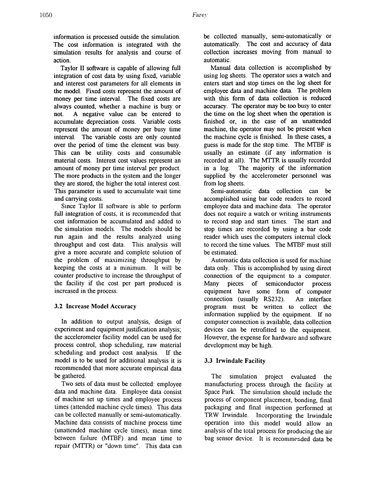information is processed outside the simulation. The cost information is integrated with the simulation results for analysis and course of action.

Taylor II software is capable of allowing full integration of cost data by using fixed, variable and interest cost parameters for all elements in the model. Fixed costs represent the amount of money per time interval. The fixed costs are always counted, whether a machine is busy or not. A negative value can be entered to accumulate depreciation costs. Variable costs represent the amount of money per busy time interval. The variable costs are only counted over the period of time the element was busy. This can be utility costs and consumable material costs. Interest cost values represent an amount of money per time interval per product. The more products in the system and the longer they are stored, the higher the total interest cost. This parameter is used to accumulate wait time and carrying costs.

Since Taylor II software is able to perform full integration of costs, it is recommended that cost information be accumulated and added to the simulation models. The models should be run again and the results analyzed using throughput and cost data. This analysis will give a more accurate and complete solution of the problem of maximizing throughput by keeping the costs at a minimum. It will be counter productive to increase the throughput of the facility if the cost per part produced is increased in the process.

# 3.2 Increase Model Accuracy

In addition to output analysis, design of experiment and equipment justification analysis; the accelerometer facility model can be used for process control, shop scheduling, raw material scheduling and product cost analysis. If the model is to be used for additional analysis it is recommended that more accurate empirical data be gathered.

Two sets of data must be collected: employee data and machine data. Employee data consist of machine set up times and employee process times (attended machine cycle times). This data can be collected manually or semi-automatically. Machine data consists of machine process time (unattended machine cycle times), mean time between failure (MTBF) and mean time to repair (MTfR) or "dovm time". This data can

be collected manually, semi-automatically or automatically. The cost and accuracy of data collection increases moving from manual to automatic.

Manual data collection is accomplished by using log sheets. The operator uses a watch and enters start and stop times on the log sheet for employee data and machine data. The problem with this form of data collection is reduced accuracy. The operator may be too busy to enter the time on the log sheet when the operation is finished or, in the case of an unattended machine, the operator may not be present when the machine cycle is finished. In these cases, a guess is made for the stop time. The MTBF is usually an estimate (if any information is recorded at all). The MTrR is usually recorded in a log. The majority of the information supplied by the accelerometer personnel was from log sheets.

Semi-automatic data collection can be accomplished using bar code readers to record employee data and machine data. The operator does not require a watch or writing instruments to record stop and start times. The start and stop times are recorded by using a bar code reader which uses the computers internal clock to record the time values. The MTBF must still be estimated.

Automatic data collection is used for machine data only. This is accomplished by using direct connection of the equipment to a computer. Many pieces of semiconductor process equipment have some form of computer connection (usually RS232). An interface program must be written to collect the information supplied by the equipment. If no computer connection is available, data collection devices can be retrofitted to the equipment. However, the expense for hardware and software development may be high.

# 3.3 Irwindale Facility

The simulation project evaluated the manufacturing process through the facility at Space Park. The simulation should include the process of component placement, bonding, final packaging and final inspection performed at TRW Irwindale. Incorporating the Irwindale operation into this model would allow an analysis of the total process for producing the air bag sensor device. It is recommended data be